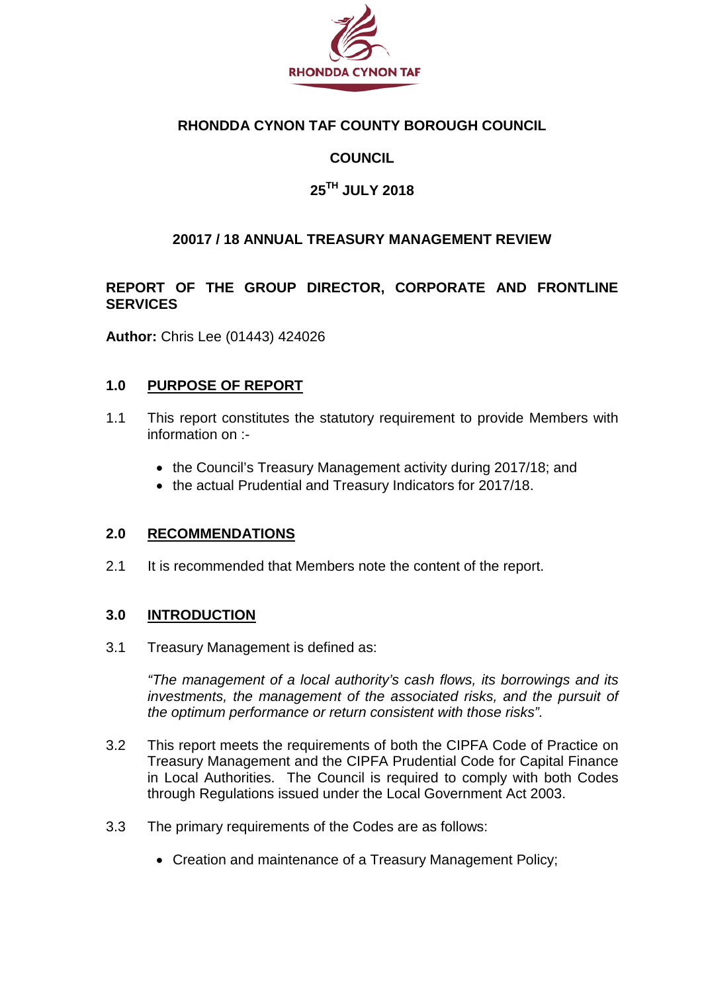

#### **RHONDDA CYNON TAF COUNTY BOROUGH COUNCIL**

### **COUNCIL**

### **25TH JULY 2018**

#### **20017 / 18 ANNUAL TREASURY MANAGEMENT REVIEW**

#### **REPORT OF THE GROUP DIRECTOR, CORPORATE AND FRONTLINE SERVICES**

**Author:** Chris Lee (01443) 424026

#### **1.0 PURPOSE OF REPORT**

- 1.1 This report constitutes the statutory requirement to provide Members with information on :-
	- the Council's Treasury Management activity during 2017/18; and
	- the actual Prudential and Treasury Indicators for 2017/18.

#### **2.0 RECOMMENDATIONS**

2.1 It is recommended that Members note the content of the report.

#### **3.0 INTRODUCTION**

3.1 Treasury Management is defined as:

*"The management of a local authority's cash flows, its borrowings and its investments, the management of the associated risks, and the pursuit of the optimum performance or return consistent with those risks".*

- 3.2 This report meets the requirements of both the CIPFA Code of Practice on Treasury Management and the CIPFA Prudential Code for Capital Finance in Local Authorities. The Council is required to comply with both Codes through Regulations issued under the Local Government Act 2003.
- 3.3 The primary requirements of the Codes are as follows:
	- Creation and maintenance of a Treasury Management Policy;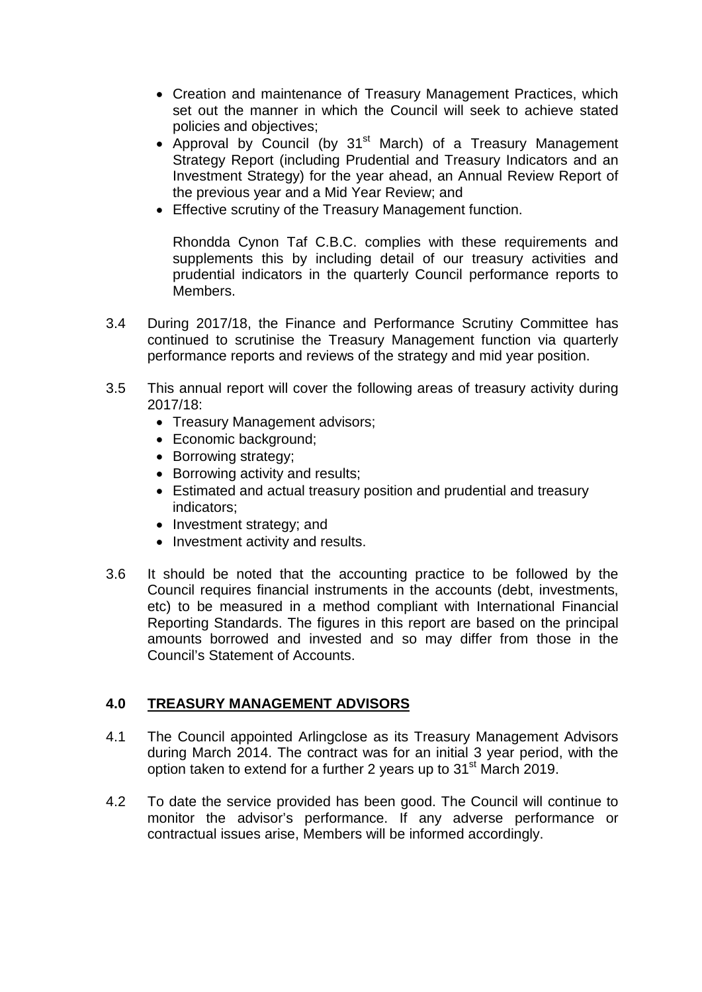- Creation and maintenance of Treasury Management Practices, which set out the manner in which the Council will seek to achieve stated policies and objectives;
- Approval by Council (by 31<sup>st</sup> March) of a Treasury Management Strategy Report (including Prudential and Treasury Indicators and an Investment Strategy) for the year ahead, an Annual Review Report of the previous year and a Mid Year Review; and
- Effective scrutiny of the Treasury Management function.

Rhondda Cynon Taf C.B.C. complies with these requirements and supplements this by including detail of our treasury activities and prudential indicators in the quarterly Council performance reports to Members.

- 3.4 During 2017/18, the Finance and Performance Scrutiny Committee has continued to scrutinise the Treasury Management function via quarterly performance reports and reviews of the strategy and mid year position.
- 3.5 This annual report will cover the following areas of treasury activity during 2017/18:
	- Treasury Management advisors;
	- Economic background;
	- Borrowing strategy;
	- Borrowing activity and results;
	- Estimated and actual treasury position and prudential and treasury indicators;
	- Investment strategy; and
	- Investment activity and results.
- 3.6 It should be noted that the accounting practice to be followed by the Council requires financial instruments in the accounts (debt, investments, etc) to be measured in a method compliant with International Financial Reporting Standards. The figures in this report are based on the principal amounts borrowed and invested and so may differ from those in the Council's Statement of Accounts.

### **4.0 TREASURY MANAGEMENT ADVISORS**

- 4.1 The Council appointed Arlingclose as its Treasury Management Advisors during March 2014. The contract was for an initial 3 year period, with the option taken to extend for a further 2 years up to 31<sup>st</sup> March 2019.
- 4.2 To date the service provided has been good. The Council will continue to monitor the advisor's performance. If any adverse performance or contractual issues arise, Members will be informed accordingly.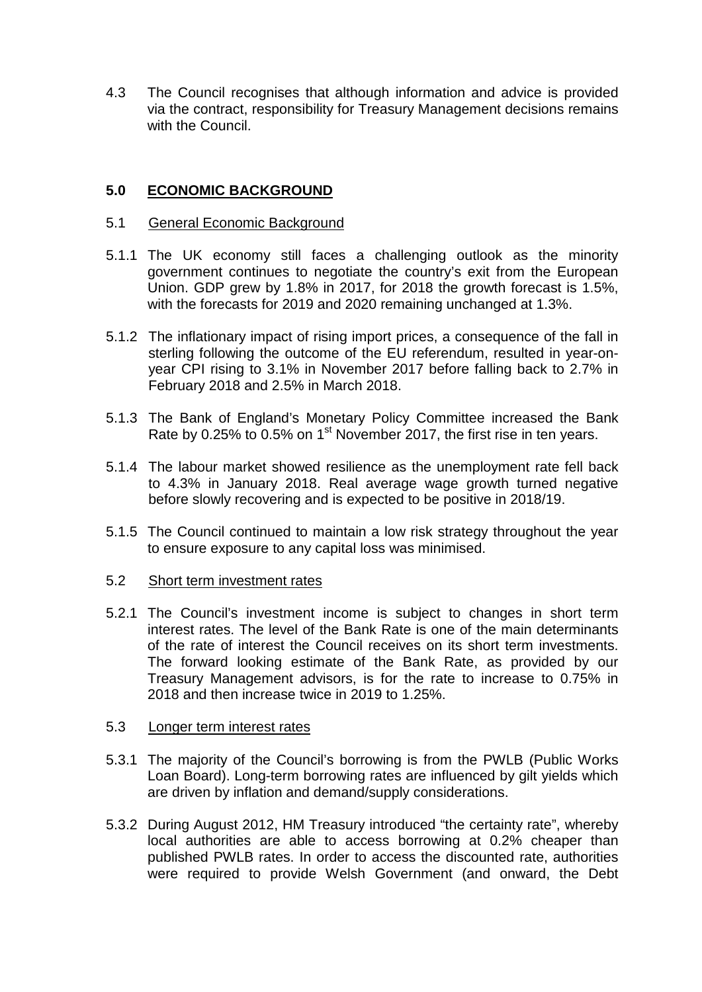4.3 The Council recognises that although information and advice is provided via the contract, responsibility for Treasury Management decisions remains with the Council.

#### **5.0 ECONOMIC BACKGROUND**

#### 5.1 General Economic Background

- 5.1.1 The UK economy still faces a challenging outlook as the minority government continues to negotiate the country's exit from the European Union. GDP grew by 1.8% in 2017, for 2018 the growth forecast is 1.5%, with the forecasts for 2019 and 2020 remaining unchanged at 1.3%.
- 5.1.2 The inflationary impact of rising import prices, a consequence of the fall in sterling following the outcome of the EU referendum, resulted in year-onyear CPI rising to 3.1% in November 2017 before falling back to 2.7% in February 2018 and 2.5% in March 2018.
- 5.1.3 The Bank of England's Monetary Policy Committee increased the Bank Rate by 0.25% to 0.5% on 1<sup>st</sup> November 2017, the first rise in ten years.
- 5.1.4 The labour market showed resilience as the unemployment rate fell back to 4.3% in January 2018. Real average wage growth turned negative before slowly recovering and is expected to be positive in 2018/19.
- 5.1.5 The Council continued to maintain a low risk strategy throughout the year to ensure exposure to any capital loss was minimised.

#### 5.2 Short term investment rates

5.2.1 The Council's investment income is subject to changes in short term interest rates. The level of the Bank Rate is one of the main determinants of the rate of interest the Council receives on its short term investments. The forward looking estimate of the Bank Rate, as provided by our Treasury Management advisors, is for the rate to increase to 0.75% in 2018 and then increase twice in 2019 to 1.25%.

#### 5.3 Longer term interest rates

- 5.3.1 The majority of the Council's borrowing is from the PWLB (Public Works Loan Board). Long-term borrowing rates are influenced by gilt yields which are driven by inflation and demand/supply considerations.
- 5.3.2 During August 2012, HM Treasury introduced "the certainty rate", whereby local authorities are able to access borrowing at 0.2% cheaper than published PWLB rates. In order to access the discounted rate, authorities were required to provide Welsh Government (and onward, the Debt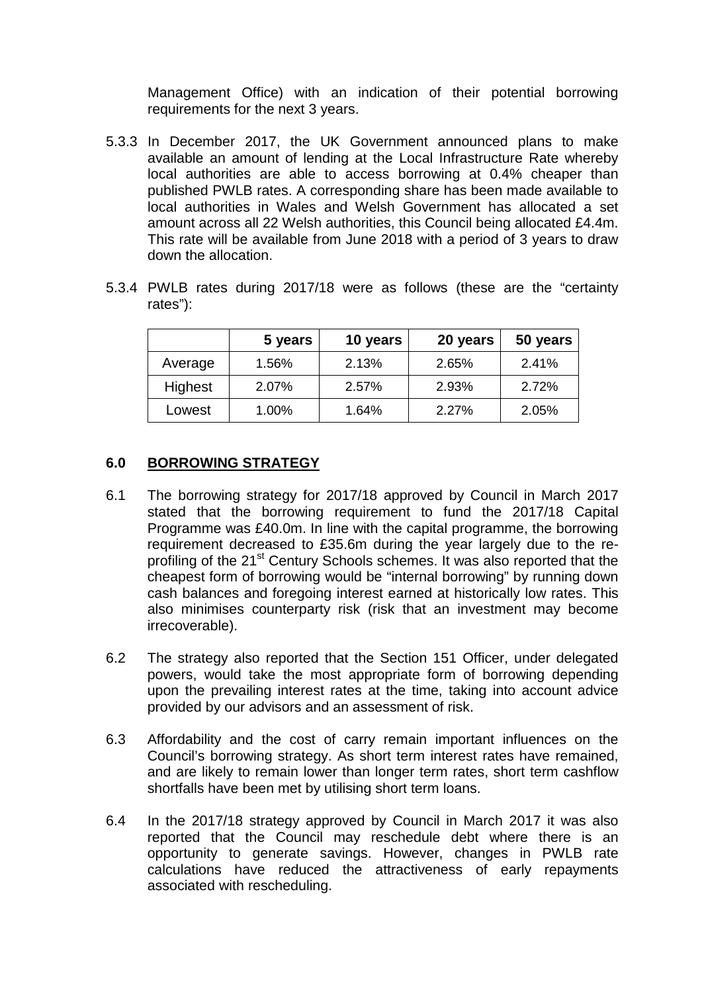Management Office) with an indication of their potential borrowing requirements for the next 3 years.

- 5.3.3 In December 2017, the UK Government announced plans to make available an amount of lending at the Local Infrastructure Rate whereby local authorities are able to access borrowing at 0.4% cheaper than published PWLB rates. A corresponding share has been made available to local authorities in Wales and Welsh Government has allocated a set amount across all 22 Welsh authorities, this Council being allocated £4.4m. This rate will be available from June 2018 with a period of 3 years to draw down the allocation.
- 5.3.4 PWLB rates during 2017/18 were as follows (these are the "certainty rates"):

|         | 5 years | 10 years | 20 years | 50 years |
|---------|---------|----------|----------|----------|
| Average | 1.56%   | 2.13%    | 2.65%    | 2.41%    |
| Highest | 2.07%   | 2.57%    | 2.93%    | 2.72%    |
| Lowest  | 1.00%   | 1.64%    | 2.27%    | 2.05%    |

#### **6.0 BORROWING STRATEGY**

- 6.1 The borrowing strategy for 2017/18 approved by Council in March 2017 stated that the borrowing requirement to fund the 2017/18 Capital Programme was £40.0m. In line with the capital programme, the borrowing requirement decreased to £35.6m during the year largely due to the reprofiling of the 21<sup>st</sup> Century Schools schemes. It was also reported that the cheapest form of borrowing would be "internal borrowing" by running down cash balances and foregoing interest earned at historically low rates. This also minimises counterparty risk (risk that an investment may become irrecoverable).
- 6.2 The strategy also reported that the Section 151 Officer, under delegated powers, would take the most appropriate form of borrowing depending upon the prevailing interest rates at the time, taking into account advice provided by our advisors and an assessment of risk.
- 6.3 Affordability and the cost of carry remain important influences on the Council's borrowing strategy. As short term interest rates have remained, and are likely to remain lower than longer term rates, short term cashflow shortfalls have been met by utilising short term loans.
- 6.4 In the 2017/18 strategy approved by Council in March 2017 it was also reported that the Council may reschedule debt where there is an opportunity to generate savings. However, changes in PWLB rate calculations have reduced the attractiveness of early repayments associated with rescheduling.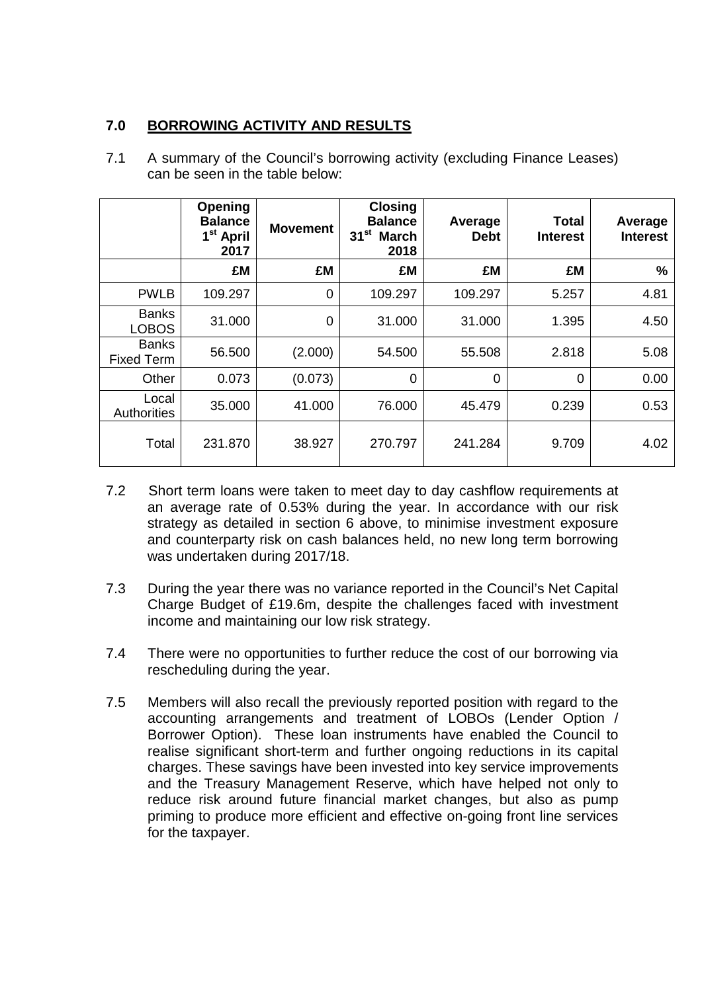#### **7.0 BORROWING ACTIVITY AND RESULTS**

|                                   | <b>Opening</b><br><b>Balance</b><br>1 <sup>st</sup> April<br>2017 | <b>Movement</b> | <b>Closing</b><br><b>Balance</b><br>$31^{st}$<br><b>March</b><br>2018 | Average<br><b>Debt</b> | <b>Total</b><br><b>Interest</b> | Average<br><b>Interest</b> |
|-----------------------------------|-------------------------------------------------------------------|-----------------|-----------------------------------------------------------------------|------------------------|---------------------------------|----------------------------|
|                                   | £M                                                                | £M              | £M                                                                    | £M                     | £M                              | %                          |
| <b>PWLB</b>                       | 109.297                                                           | $\mathbf 0$     | 109.297                                                               | 109.297                | 5.257                           | 4.81                       |
| <b>Banks</b><br><b>LOBOS</b>      | 31.000                                                            | 0               | 31.000                                                                | 31.000                 | 1.395                           | 4.50                       |
| <b>Banks</b><br><b>Fixed Term</b> | 56.500                                                            | (2.000)         | 54.500                                                                | 55.508                 | 2.818                           | 5.08                       |
| Other                             | 0.073                                                             | (0.073)         | $\overline{0}$                                                        | $\overline{0}$         | 0                               | 0.00                       |
| Local<br>Authorities              | 35.000                                                            | 41.000          | 76.000                                                                | 45.479                 | 0.239                           | 0.53                       |
| Total                             | 231.870                                                           | 38.927          | 270.797                                                               | 241.284                | 9.709                           | 4.02                       |

7.1 A summary of the Council's borrowing activity (excluding Finance Leases) can be seen in the table below:

- 7.2 Short term loans were taken to meet day to day cashflow requirements at an average rate of 0.53% during the year. In accordance with our risk strategy as detailed in section 6 above, to minimise investment exposure and counterparty risk on cash balances held, no new long term borrowing was undertaken during 2017/18.
- 7.3 During the year there was no variance reported in the Council's Net Capital Charge Budget of £19.6m, despite the challenges faced with investment income and maintaining our low risk strategy.
- 7.4 There were no opportunities to further reduce the cost of our borrowing via rescheduling during the year.
- 7.5 Members will also recall the previously reported position with regard to the accounting arrangements and treatment of LOBOs (Lender Option / Borrower Option). These loan instruments have enabled the Council to realise significant short-term and further ongoing reductions in its capital charges. These savings have been invested into key service improvements and the Treasury Management Reserve, which have helped not only to reduce risk around future financial market changes, but also as pump priming to produce more efficient and effective on-going front line services for the taxpayer.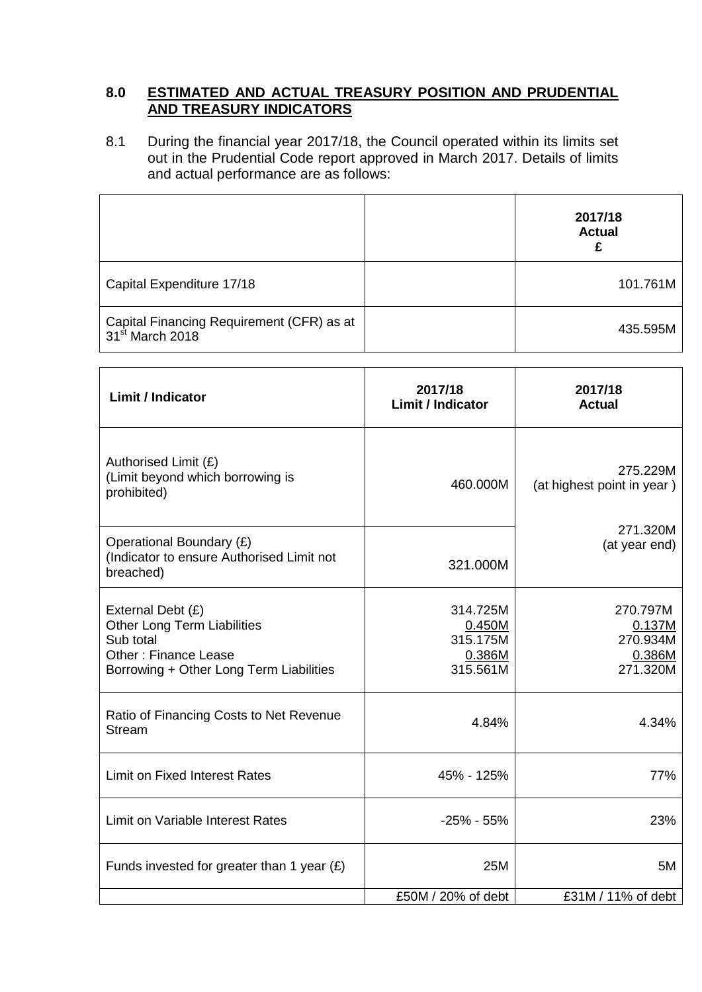#### **8.0 ESTIMATED AND ACTUAL TREASURY POSITION AND PRUDENTIAL AND TREASURY INDICATORS**

8.1 During the financial year 2017/18, the Council operated within its limits set out in the Prudential Code report approved in March 2017. Details of limits and actual performance are as follows:

|                                                                          | 2017/18<br><b>Actual</b> |
|--------------------------------------------------------------------------|--------------------------|
| Capital Expenditure 17/18                                                | 101.761M                 |
| Capital Financing Requirement (CFR) as at<br>31 <sup>st</sup> March 2018 | 435.595M                 |

| <b>Limit / Indicator</b>                                                                                                                       | 2017/18<br><b>Limit / Indicator</b>                  | 2017/18<br><b>Actual</b>                             |  |
|------------------------------------------------------------------------------------------------------------------------------------------------|------------------------------------------------------|------------------------------------------------------|--|
| Authorised Limit (£)<br>(Limit beyond which borrowing is<br>prohibited)                                                                        | 460.000M                                             | 275.229M<br>(at highest point in year)               |  |
| Operational Boundary (£)<br>(Indicator to ensure Authorised Limit not<br>breached)                                                             | 321.000M                                             | 271.320M<br>(at year end)                            |  |
| External Debt (£)<br><b>Other Long Term Liabilities</b><br>Sub total<br><b>Other: Finance Lease</b><br>Borrowing + Other Long Term Liabilities | 314.725M<br>0.450M<br>315.175M<br>0.386M<br>315.561M | 270.797M<br>0.137M<br>270.934M<br>0.386M<br>271.320M |  |
| Ratio of Financing Costs to Net Revenue<br><b>Stream</b>                                                                                       | 4.84%                                                | 4.34%                                                |  |
| <b>Limit on Fixed Interest Rates</b>                                                                                                           | 45% - 125%                                           | 77%                                                  |  |
| Limit on Variable Interest Rates                                                                                                               | $-25\% - 55\%$                                       | 23%                                                  |  |
| Funds invested for greater than 1 year $(E)$                                                                                                   | 25M                                                  | 5M                                                   |  |
|                                                                                                                                                | £50M / 20% of debt                                   | £31M / 11% of debt                                   |  |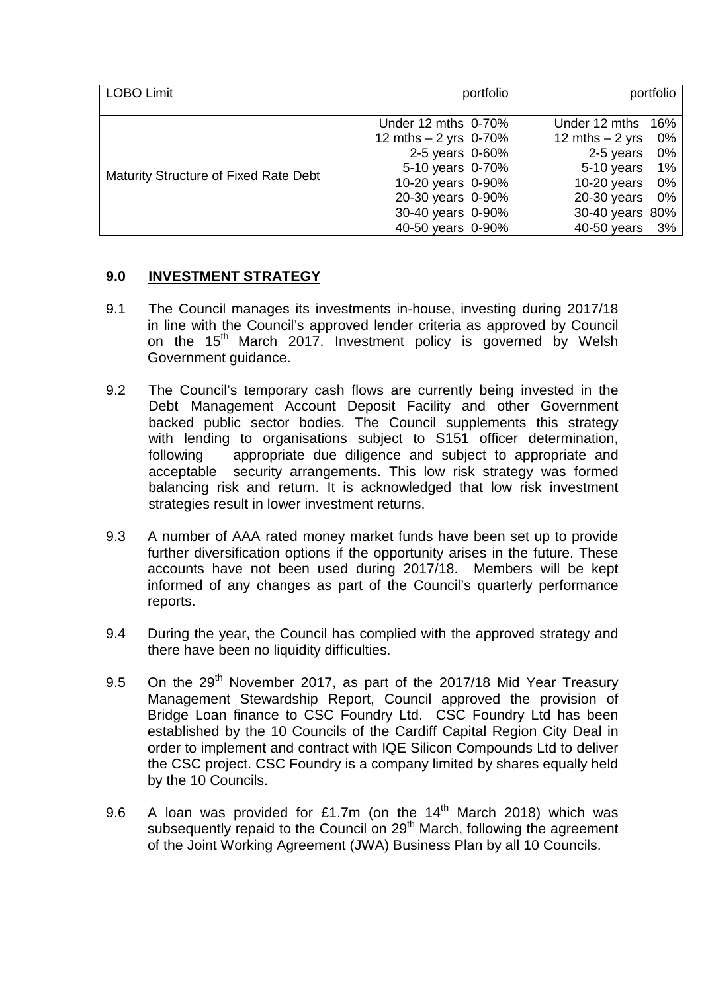| <b>LOBO Limit</b>                     | portfolio<br>portfolio |                        |
|---------------------------------------|------------------------|------------------------|
|                                       |                        |                        |
|                                       | Under 12 mths 0-70%    | Under 12 mths 16%      |
|                                       | 12 mths $-2$ yrs 0-70% | 12 mths $-2$ yrs<br>0% |
|                                       | 2-5 years 0-60%        | 2-5 years<br>0%        |
|                                       | 5-10 years 0-70%       | 5-10 years<br>$1\%$    |
| Maturity Structure of Fixed Rate Debt | 10-20 years 0-90%      | $10-20$ years<br>0%    |
|                                       | 20-30 years 0-90%      | $20-30$ years<br>- 0%  |
|                                       | 30-40 years 0-90%      | 30-40 years 80%        |
|                                       | 40-50 years 0-90%      | 40-50 years<br>3%      |

### **9.0 INVESTMENT STRATEGY**

- 9.1 The Council manages its investments in-house, investing during 2017/18 in line with the Council's approved lender criteria as approved by Council on the 15<sup>th</sup> March 2017. Investment policy is governed by Welsh Government guidance.
- 9.2 The Council's temporary cash flows are currently being invested in the Debt Management Account Deposit Facility and other Government backed public sector bodies. The Council supplements this strategy with lending to organisations subject to S151 officer determination. following appropriate due diligence and subject to appropriate and acceptable security arrangements. This low risk strategy was formed balancing risk and return. It is acknowledged that low risk investment strategies result in lower investment returns.
- 9.3 A number of AAA rated money market funds have been set up to provide further diversification options if the opportunity arises in the future. These accounts have not been used during 2017/18. Members will be kept informed of any changes as part of the Council's quarterly performance reports.
- 9.4 During the year, the Council has complied with the approved strategy and there have been no liquidity difficulties.
- 9.5 On the 29<sup>th</sup> November 2017, as part of the 2017/18 Mid Year Treasury Management Stewardship Report, Council approved the provision of Bridge Loan finance to CSC Foundry Ltd. CSC Foundry Ltd has been established by the 10 Councils of the Cardiff Capital Region City Deal in order to implement and contract with IQE Silicon Compounds Ltd to deliver the CSC project. CSC Foundry is a company limited by shares equally held by the 10 Councils.
- 9.6 A loan was provided for £1.7m (on the  $14<sup>th</sup>$  March 2018) which was subsequently repaid to the Council on 29<sup>th</sup> March, following the agreement of the Joint Working Agreement (JWA) Business Plan by all 10 Councils.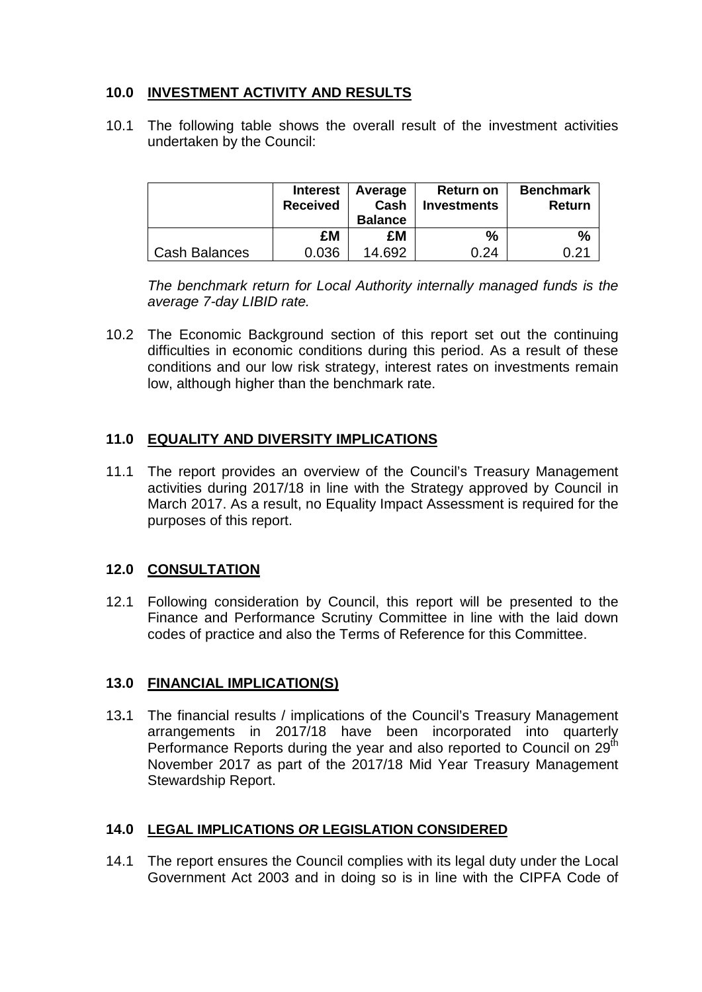### **10.0 INVESTMENT ACTIVITY AND RESULTS**

10.1 The following table shows the overall result of the investment activities undertaken by the Council:

|                      | <b>Interest</b><br><b>Received</b> | Average<br>Cash<br><b>Balance</b> | Return on<br><b>Investments</b> | <b>Benchmark</b><br><b>Return</b> |
|----------------------|------------------------------------|-----------------------------------|---------------------------------|-----------------------------------|
|                      | £M                                 | £M                                | %                               | $\%$                              |
| <b>Cash Balances</b> | 0.036                              | 14.692                            | በ 24                            | በ 21                              |

*The benchmark return for Local Authority internally managed funds is the average 7-day LIBID rate.* 

10.2 The Economic Background section of this report set out the continuing difficulties in economic conditions during this period. As a result of these conditions and our low risk strategy, interest rates on investments remain low, although higher than the benchmark rate.

### **11.0 EQUALITY AND DIVERSITY IMPLICATIONS**

11.1 The report provides an overview of the Council's Treasury Management activities during 2017/18 in line with the Strategy approved by Council in March 2017. As a result, no Equality Impact Assessment is required for the purposes of this report.

### **12.0 CONSULTATION**

12.1 Following consideration by Council, this report will be presented to the Finance and Performance Scrutiny Committee in line with the laid down codes of practice and also the Terms of Reference for this Committee.

### **13.0 FINANCIAL IMPLICATION(S)**

13**.**1 The financial results / implications of the Council's Treasury Management arrangements in 2017/18 have been incorporated into quarterly Performance Reports during the year and also reported to Council on 29<sup>th</sup> November 2017 as part of the 2017/18 Mid Year Treasury Management Stewardship Report.

### **14.0 LEGAL IMPLICATIONS** *OR* **LEGISLATION CONSIDERED**

14.1 The report ensures the Council complies with its legal duty under the Local Government Act 2003 and in doing so is in line with the CIPFA Code of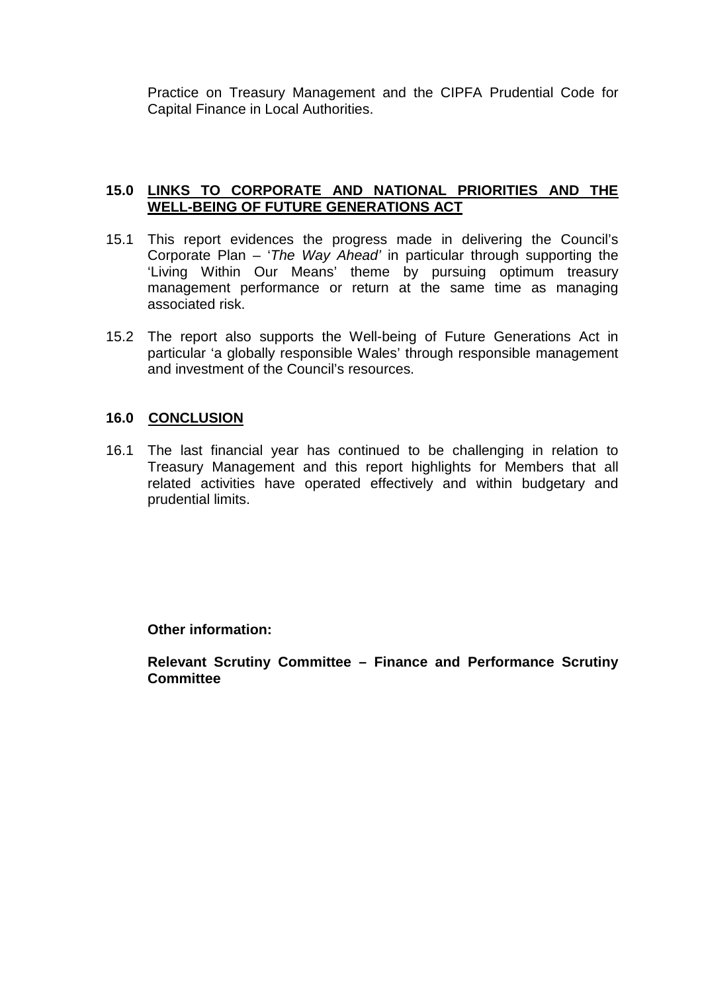Practice on Treasury Management and the CIPFA Prudential Code for Capital Finance in Local Authorities.

#### **15.0 LINKS TO CORPORATE AND NATIONAL PRIORITIES AND THE WELL-BEING OF FUTURE GENERATIONS ACT**

- 15.1 This report evidences the progress made in delivering the Council's Corporate Plan – '*The Way Ahead'* in particular through supporting the 'Living Within Our Means' theme by pursuing optimum treasury management performance or return at the same time as managing associated risk.
- 15.2 The report also supports the Well-being of Future Generations Act in particular 'a globally responsible Wales' through responsible management and investment of the Council's resources.

#### **16.0 CONCLUSION**

16.1 The last financial year has continued to be challenging in relation to Treasury Management and this report highlights for Members that all related activities have operated effectively and within budgetary and prudential limits.

**Other information:** 

**Relevant Scrutiny Committee – Finance and Performance Scrutiny Committee**